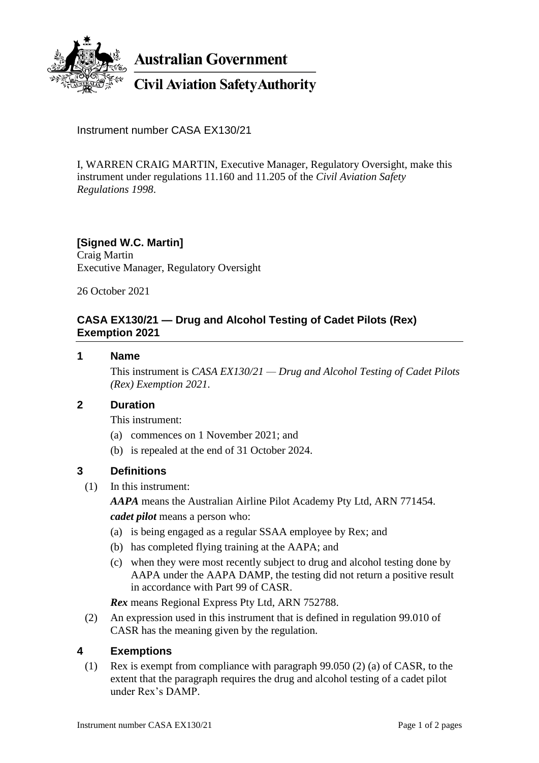

**Australian Government** 

# **Civil Aviation Safety Authority**

Instrument number CASA EX130/21

I, WARREN CRAIG MARTIN, Executive Manager, Regulatory Oversight, make this instrument under regulations 11.160 and 11.205 of the *Civil Aviation Safety Regulations 1998*.

### **[Signed W.C. Martin]**

Craig Martin Executive Manager, Regulatory Oversight

26 October 2021

## **CASA EX130/21 — Drug and Alcohol Testing of Cadet Pilots (Rex) Exemption 2021**

#### **1 Name**

This instrument is *CASA EX130/21 — Drug and Alcohol Testing of Cadet Pilots (Rex) Exemption 2021*.

#### **2 Duration**

This instrument:

- (a) commences on 1 November 2021; and
- (b) is repealed at the end of 31 October 2024.

#### **3 Definitions**

(1) In this instrument:

*AAPA* means the Australian Airline Pilot Academy Pty Ltd, ARN 771454.

*cadet pilot* means a person who:

- (a) is being engaged as a regular SSAA employee by Rex; and
- (b) has completed flying training at the AAPA; and
- (c) when they were most recently subject to drug and alcohol testing done by AAPA under the AAPA DAMP, the testing did not return a positive result in accordance with Part 99 of CASR.

*Rex* means Regional Express Pty Ltd, ARN 752788.

(2) An expression used in this instrument that is defined in regulation 99.010 of CASR has the meaning given by the regulation.

#### **4 Exemptions**

(1) Rex is exempt from compliance with paragraph 99.050 (2) (a) of CASR, to the extent that the paragraph requires the drug and alcohol testing of a cadet pilot under Rex's DAMP.